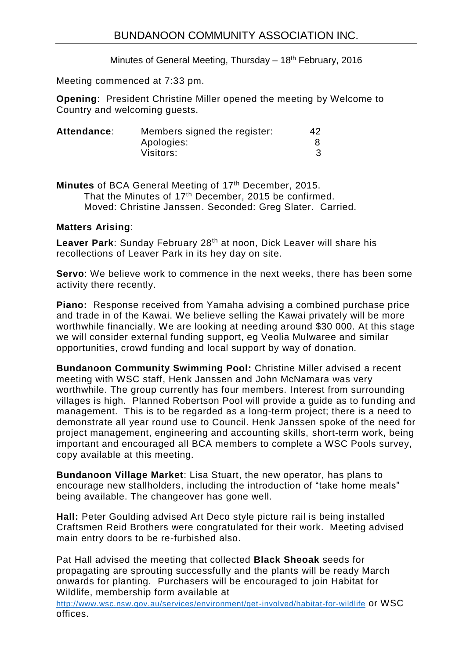Minutes of General Meeting, Thursday  $-18<sup>th</sup>$  February, 2016

Meeting commenced at 7:33 pm.

**Opening**: President Christine Miller opened the meeting by Welcome to Country and welcoming guests.

| Attendance: | Members signed the register: | 42 |
|-------------|------------------------------|----|
|             | Apologies:                   |    |
|             | Visitors:                    |    |

Minutes of BCA General Meeting of 17<sup>th</sup> December, 2015. That the Minutes of 17<sup>th</sup> December, 2015 be confirmed. Moved: Christine Janssen. Seconded: Greg Slater. Carried.

## **Matters Arising**:

Leaver Park: Sunday February 28<sup>th</sup> at noon, Dick Leaver will share his recollections of Leaver Park in its hey day on site.

**Servo**: We believe work to commence in the next weeks, there has been some activity there recently.

**Piano:** Response received from Yamaha advising a combined purchase price and trade in of the Kawai. We believe selling the Kawai privately will be more worthwhile financially. We are looking at needing around \$30 000. At this stage we will consider external funding support, eg Veolia Mulwaree and similar opportunities, crowd funding and local support by way of donation.

**Bundanoon Community Swimming Pool:** Christine Miller advised a recent meeting with WSC staff, Henk Janssen and John McNamara was very worthwhile. The group currently has four members. Interest from surrounding villages is high. Planned Robertson Pool will provide a guide as to funding and management. This is to be regarded as a long-term project; there is a need to demonstrate all year round use to Council. Henk Janssen spoke of the need for project management, engineering and accounting skills, short-term work, being important and encouraged all BCA members to complete a WSC Pools survey, copy available at this meeting.

**Bundanoon Village Market**: Lisa Stuart, the new operator, has plans to encourage new stallholders, including the introduction of "take home meals" being available. The changeover has gone well.

**Hall:** Peter Goulding advised Art Deco style picture rail is being installed Craftsmen Reid Brothers were congratulated for their work. Meeting advised main entry doors to be re-furbished also.

Pat Hall advised the meeting that collected **Black Sheoak** seeds for propagating are sprouting successfully and the plants will be ready March onwards for planting. Purchasers will be encouraged to join Habitat for Wildlife, membership form available at

<http://www.wsc.nsw.gov.au/services/environment/get-involved/habitat-for-wildlife> or WSC offices.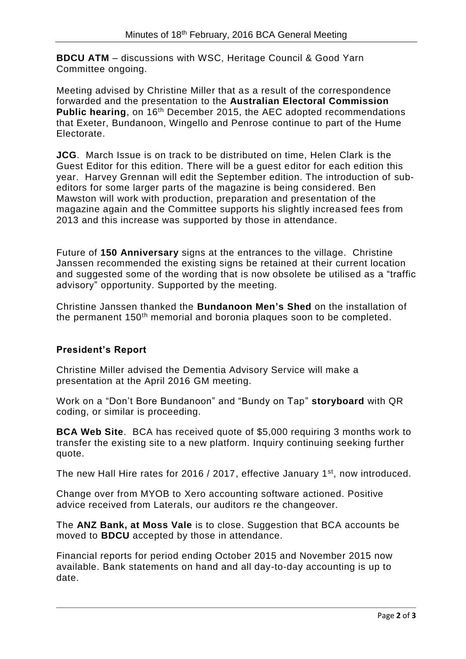**BDCU ATM** – discussions with WSC, Heritage Council & Good Yarn Committee ongoing.

Meeting advised by Christine Miller that as a result of the correspondence forwarded and the presentation to the **Australian Electoral Commission Public hearing**, on 16th December 2015, the AEC adopted recommendations that Exeter, Bundanoon, Wingello and Penrose continue to part of the Hume Electorate.

**JCG**. March Issue is on track to be distributed on time, Helen Clark is the Guest Editor for this edition. There will be a guest editor for each edition this year. Harvey Grennan will edit the September edition. The introduction of subeditors for some larger parts of the magazine is being considered. Ben Mawston will work with production, preparation and presentation of the magazine again and the Committee supports his slightly increased fees from 2013 and this increase was supported by those in attendance.

Future of **150 Anniversary** signs at the entrances to the village. Christine Janssen recommended the existing signs be retained at their current location and suggested some of the wording that is now obsolete be utilised as a "traffic advisory" opportunity. Supported by the meeting.

Christine Janssen thanked the **Bundanoon Men's Shed** on the installation of the permanent 150<sup>th</sup> memorial and boronia plaques soon to be completed.

# **President's Report**

Christine Miller advised the Dementia Advisory Service will make a presentation at the April 2016 GM meeting.

Work on a "Don't Bore Bundanoon" and "Bundy on Tap" **storyboard** with QR coding, or similar is proceeding.

**BCA Web Site**. BCA has received quote of \$5,000 requiring 3 months work to transfer the existing site to a new platform. Inquiry continuing seeking further quote.

The new Hall Hire rates for 2016 / 2017, effective January 1<sup>st</sup>, now introduced.

Change over from MYOB to Xero accounting software actioned. Positive advice received from Laterals, our auditors re the changeover.

The **ANZ Bank, at Moss Vale** is to close. Suggestion that BCA accounts be moved to **BDCU** accepted by those in attendance.

Financial reports for period ending October 2015 and November 2015 now available. Bank statements on hand and all day-to-day accounting is up to date.